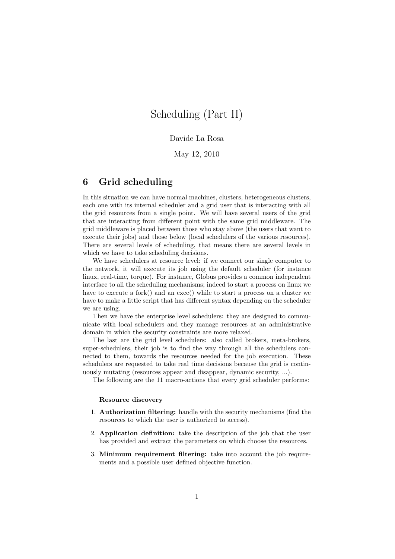# Scheduling (Part II)

# Davide La Rosa

May 12, 2010

# 6 Grid scheduling

In this situation we can have normal machines, clusters, heterogeneous clusters, each one with its internal scheduler and a grid user that is interacting with all the grid resources from a single point. We will have several users of the grid that are interacting from different point with the same grid middleware. The grid middleware is placed between those who stay above (the users that want to execute their jobs) and those below (local schedulers of the various resources). There are several levels of scheduling, that means there are several levels in which we have to take scheduling decisions.

We have schedulers at resource level: if we connect our single computer to the network, it will execute its job using the default scheduler (for instance linux, real-time, torque). For instance, Globus provides a common independent interface to all the scheduling mechanisms; indeed to start a process on linux we have to execute a fork() and an exec() while to start a process on a cluster we have to make a little script that has different syntax depending on the scheduler we are using.

Then we have the enterprise level schedulers: they are designed to communicate with local schedulers and they manage resources at an administrative domain in which the security constraints are more relaxed.

The last are the grid level schedulers: also called brokers, meta-brokers, super-schedulers, their job is to find the way through all the schedulers connected to them, towards the resources needed for the job execution. These schedulers are requested to take real time decisions because the grid is continuously mutating (resources appear and disappear, dynamic security, ...).

The following are the 11 macro-actions that every grid scheduler performs:

#### Resource discovery

- 1. Authorization filtering: handle with the security mechanisms (find the resources to which the user is authorized to access).
- 2. Application definition: take the description of the job that the user has provided and extract the parameters on which choose the resources.
- 3. Minimum requirement filtering: take into account the job requirements and a possible user defined objective function.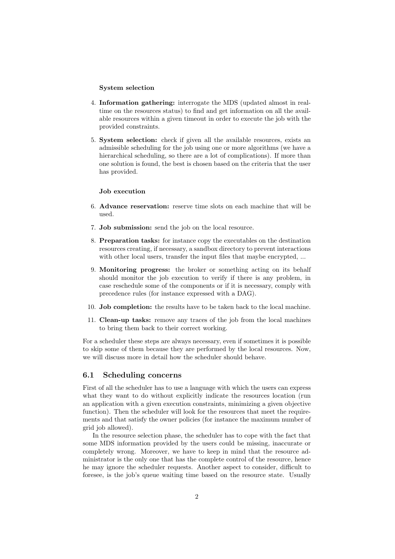#### System selection

- 4. Information gathering: interrogate the MDS (updated almost in realtime on the resources status) to find and get information on all the available resources within a given timeout in order to execute the job with the provided constraints.
- 5. System selection: check if given all the available resources, exists an admissible scheduling for the job using one or more algorithms (we have a hierarchical scheduling, so there are a lot of complications). If more than one solution is found, the best is chosen based on the criteria that the user has provided.

#### Job execution

- 6. Advance reservation: reserve time slots on each machine that will be used.
- 7. Job submission: send the job on the local resource.
- 8. Preparation tasks: for instance copy the executables on the destination resources creating, if necessary, a sandbox directory to prevent interactions with other local users, transfer the input files that maybe encrypted, ...
- 9. Monitoring progress: the broker or something acting on its behalf should monitor the job execution to verify if there is any problem, in case reschedule some of the components or if it is necessary, comply with precedence rules (for instance expressed with a DAG).
- 10. Job completion: the results have to be taken back to the local machine.
- 11. Clean-up tasks: remove any traces of the job from the local machines to bring them back to their correct working.

For a scheduler these steps are always necessary, even if sometimes it is possible to skip some of them because they are performed by the local resources. Now, we will discuss more in detail how the scheduler should behave.

# 6.1 Scheduling concerns

First of all the scheduler has to use a language with which the users can express what they want to do without explicitly indicate the resources location (run an application with a given execution constraints, minimizing a given objective function). Then the scheduler will look for the resources that meet the requirements and that satisfy the owner policies (for instance the maximum number of grid job allowed).

In the resource selection phase, the scheduler has to cope with the fact that some MDS information provided by the users could be missing, inaccurate or completely wrong. Moreover, we have to keep in mind that the resource administrator is the only one that has the complete control of the resource, hence he may ignore the scheduler requests. Another aspect to consider, difficult to foresee, is the job's queue waiting time based on the resource state. Usually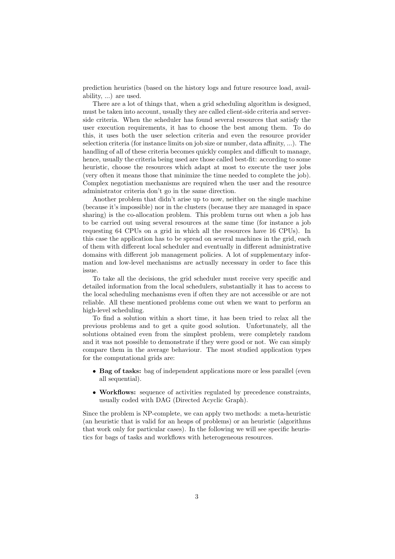prediction heuristics (based on the history logs and future resource load, availability, ...) are used.

There are a lot of things that, when a grid scheduling algorithm is designed, must be taken into account, usually they are called client-side criteria and serverside criteria. When the scheduler has found several resources that satisfy the user execution requirements, it has to choose the best among them. To do this, it uses both the user selection criteria and even the resource provider selection criteria (for instance limits on job size or number, data affinity, ...). The handling of all of these criteria becomes quickly complex and difficult to manage, hence, usually the criteria being used are those called best-fit: according to some heuristic, choose the resources which adapt at most to execute the user jobs (very often it means those that minimize the time needed to complete the job). Complex negotiation mechanisms are required when the user and the resource administrator criteria don't go in the same direction.

Another problem that didn't arise up to now, neither on the single machine (because it's impossible) nor in the clusters (because they are managed in space sharing) is the co-allocation problem. This problem turns out when a job has to be carried out using several resources at the same time (for instance a job requesting 64 CPUs on a grid in which all the resources have 16 CPUs). In this case the application has to be spread on several machines in the grid, each of them with different local scheduler and eventually in different administrative domains with different job management policies. A lot of supplementary information and low-level mechanisms are actually necessary in order to face this issue.

To take all the decisions, the grid scheduler must receive very specific and detailed information from the local schedulers, substantially it has to access to the local scheduling mechanisms even if often they are not accessible or are not reliable. All these mentioned problems come out when we want to perform an high-level scheduling.

To find a solution within a short time, it has been tried to relax all the previous problems and to get a quite good solution. Unfortunately, all the solutions obtained even from the simplest problem, were completely random and it was not possible to demonstrate if they were good or not. We can simply compare them in the average behaviour. The most studied application types for the computational grids are:

- Bag of tasks: bag of independent applications more or less parallel (even all sequential).
- Workflows: sequence of activities regulated by precedence constraints, usually coded with DAG (Directed Acyclic Graph).

Since the problem is NP-complete, we can apply two methods: a meta-heuristic (an heuristic that is valid for an heaps of problems) or an heuristic (algorithms that work only for particular cases). In the following we will see specific heuristics for bags of tasks and workflows with heterogeneous resources.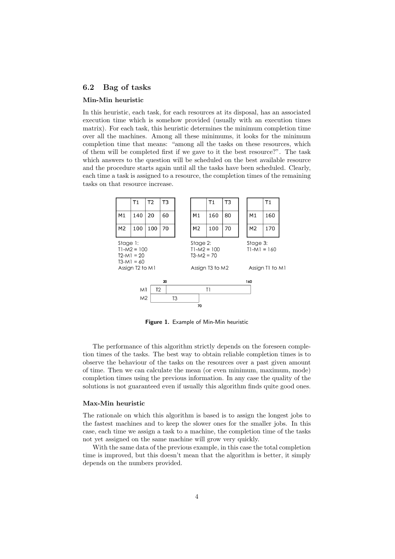# 6.2 Bag of tasks

#### Min-Min heuristic

In this heuristic, each task, for each resources at its disposal, has an associated execution time which is somehow provided (usually with an execution times matrix). For each task, this heuristic determines the minimum completion time over all the machines. Among all these minimums, it looks for the minimum completion time that means: "among all the tasks on these resources, which of them will be completed first if we gave to it the best resource?". The task which answers to the question will be scheduled on the best available resource and the procedure starts again until all the tasks have been scheduled. Clearly, each time a task is assigned to a resource, the completion times of the remaining tasks on that resource increase.



Figure 1. Example of Min-Min heuristic

The performance of this algorithm strictly depends on the foreseen completion times of the tasks. The best way to obtain reliable completion times is to observe the behaviour of the tasks on the resources over a past given amount of time. Then we can calculate the mean (or even minimum, maximum, mode) completion times using the previous information. In any case the quality of the solutions is not guaranteed even if usually this algorithm finds quite good ones.

#### Max-Min heuristic

The rationale on which this algorithm is based is to assign the longest jobs to the fastest machines and to keep the slower ones for the smaller jobs. In this case, each time we assign a task to a machine, the completion time of the tasks not yet assigned on the same machine will grow very quickly.

With the same data of the previous example, in this case the total completion time is improved, but this doesn't mean that the algorithm is better, it simply depends on the numbers provided.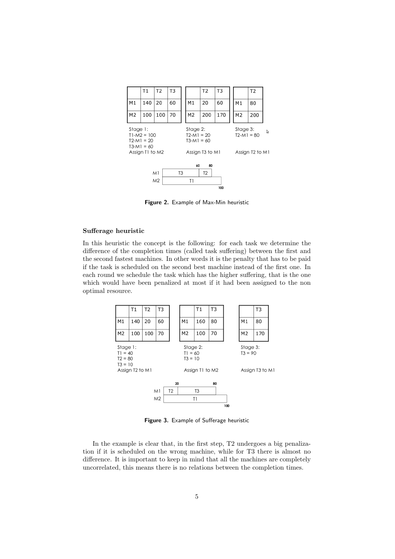

Figure 2. Example of Max-Min heuristic

# Sufferage heuristic

In this heuristic the concept is the following: for each task we determine the difference of the completion times (called task suffering) between the first and the second fastest machines. In other words it is the penalty that has to be paid if the task is scheduled on the second best machine instead of the first one. In each round we schedule the task which has the higher suffering, that is the one which would have been penalized at most if it had been assigned to the non optimal resource.



Figure 3. Example of Sufferage heuristic

In the example is clear that, in the first step, T2 undergoes a big penalization if it is scheduled on the wrong machine, while for T3 there is almost no difference. It is important to keep in mind that all the machines are completely uncorrelated, this means there is no relations between the completion times.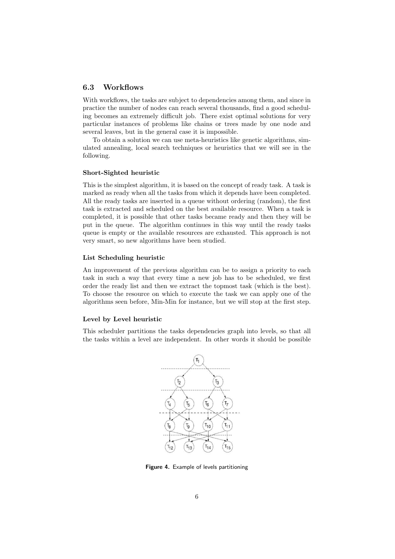# 6.3 Workflows

With workflows, the tasks are subject to dependencies among them, and since in practice the number of nodes can reach several thousands, find a good scheduling becomes an extremely difficult job. There exist optimal solutions for very particular instances of problems like chains or trees made by one node and several leaves, but in the general case it is impossible.

To obtain a solution we can use meta-heuristics like genetic algorithms, simulated annealing, local search techniques or heuristics that we will see in the following.

#### Short-Sighted heuristic

This is the simplest algorithm, it is based on the concept of ready task. A task is marked as ready when all the tasks from which it depends have been completed. All the ready tasks are inserted in a queue without ordering (random), the first task is extracted and scheduled on the best available resource. When a task is completed, it is possible that other tasks became ready and then they will be put in the queue. The algorithm continues in this way until the ready tasks queue is empty or the available resources are exhausted. This approach is not very smart, so new algorithms have been studied.

# List Scheduling heuristic

An improvement of the previous algorithm can be to assign a priority to each task in such a way that every time a new job has to be scheduled, we first order the ready list and then we extract the topmost task (which is the best). To choose the resource on which to execute the task we can apply one of the algorithms seen before, Min-Min for instance, but we will stop at the first step.

# Level by Level heuristic

This scheduler partitions the tasks dependencies graph into levels, so that all the tasks within a level are independent. In other words it should be possible



Figure 4. Example of levels partitioning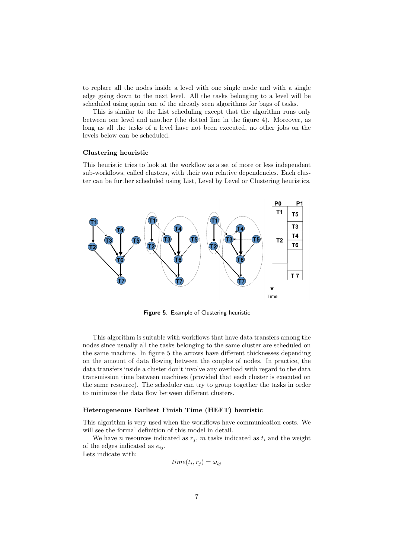to replace all the nodes inside a level with one single node and with a single edge going down to the next level. All the tasks belonging to a level will be scheduled using again one of the already seen algorithms for bags of tasks.

This is similar to the List scheduling except that the algorithm runs only between one level and another (the dotted line in the figure 4). Moreover, as long as all the tasks of a level have not been executed, no other jobs on the levels below can be scheduled.

#### Clustering heuristic

This heuristic tries to look at the workflow as a set of more or less independent sub-workflows, called clusters, with their own relative dependencies. Each cluster can be further scheduled using List, Level by Level or Clustering heuristics.



Figure 5. Example of Clustering heuristic

This algorithm is suitable with workflows that have data transfers among the nodes since usually all the tasks belonging to the same cluster are scheduled on the same machine. In figure 5 the arrows have different thicknesses depending on the amount of data flowing between the couples of nodes. In practice, the data transfers inside a cluster don't involve any overload with regard to the data transmission time between machines (provided that each cluster is executed on the same resource). The scheduler can try to group together the tasks in order to minimize the data flow between different clusters.

#### Heterogeneous Earliest Finish Time (HEFT) heuristic

This algorithm is very used when the workflows have communication costs. We will see the formal definition of this model in detail.

We have n resources indicated as  $r_j$ , m tasks indicated as  $t_i$  and the weight of the edges indicated as  $e_{ij}$ .

Lets indicate with:

$$
time(t_i, r_j) = \omega_{ij}
$$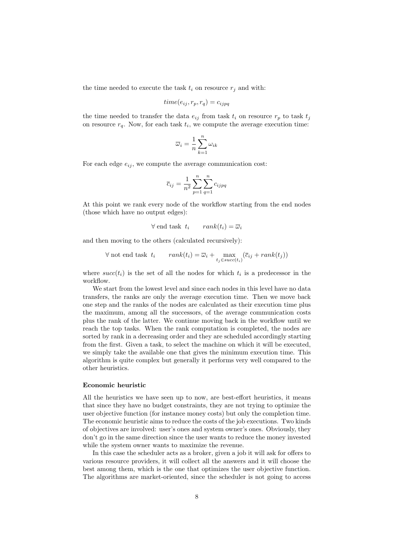the time needed to execute the task  $t_i$  on resource  $r_i$  and with:

$$
time(e_{ij}, r_p, r_q) = c_{ijpq}
$$

the time needed to transfer the data  $e_{ij}$  from task  $t_i$  on resource  $r_p$  to task  $t_j$ on resource  $r_q$ . Now, for each task  $t_i$ , we compute the average execution time:

$$
\overline{\omega}_i = \frac{1}{n} \sum_{k=1}^n \omega_{ik}
$$

For each edge  $e_{ij}$ , we compute the average communication cost:

$$
\overline{c}_{ij} = \frac{1}{n^2} \sum_{p=1}^{n} \sum_{q=1}^{n} c_{ijpq}
$$

At this point we rank every node of the workflow starting from the end nodes (those which have no output edges):

$$
\forall \text{ end task } t_i \qquad rank(t_i) = \overline{\omega}_i
$$

and then moving to the others (calculated recursively):

$$
\forall \text{ not end task } t_i \qquad rank(t_i) = \overline{\omega}_i + \max_{t_j \in succ(t_i)} (\overline{c}_{ij} + rank(t_j))
$$

where  $succ(t_i)$  is the set of all the nodes for which  $t_i$  is a predecessor in the workflow.

We start from the lowest level and since each nodes in this level have no data transfers, the ranks are only the average execution time. Then we move back one step and the ranks of the nodes are calculated as their execution time plus the maximum, among all the successors, of the average communication costs plus the rank of the latter. We continue moving back in the workflow until we reach the top tasks. When the rank computation is completed, the nodes are sorted by rank in a decreasing order and they are scheduled accordingly starting from the first. Given a task, to select the machine on which it will be executed, we simply take the available one that gives the minimum execution time. This algorithm is quite complex but generally it performs very well compared to the other heuristics.

#### Economic heuristic

All the heuristics we have seen up to now, are best-effort heuristics, it means that since they have no budget constraints, they are not trying to optimize the user objective function (for instance money costs) but only the completion time. The economic heuristic aims to reduce the costs of the job executions. Two kinds of objectives are involved: user's ones and system owner's ones. Obviously, they don't go in the same direction since the user wants to reduce the money invested while the system owner wants to maximize the revenue.

In this case the scheduler acts as a broker, given a job it will ask for offers to various resource providers, it will collect all the answers and it will choose the best among them, which is the one that optimizes the user objective function. The algorithms are market-oriented, since the scheduler is not going to access